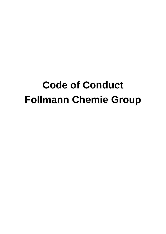# **Code of Conduct Follmann Chemie Group**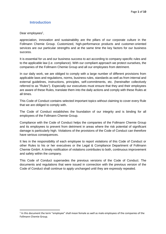#### <span id="page-1-0"></span>**Introduction**

Dear employees<sup>1</sup>,

appreciation, innovation and sustainability are the pillars of our corporate culture in the Follmann Chemie Group. Customized, high-performance products and customer-oriented services are our particular strengths and at the same time the key factors for our business success.

It is essential for us and our business success to act according to company-specific rules and to the applicable law (i.e. compliance). With our compliant approach we protect ourselves, the companies of the Follmann Chemie Group and all our employees from detriment.

In our daily work, we are obliged to comply with a large number of different provisions from applicable laws and regulations, norms, business rules, standards as well as from internal and external guidelines, instructions, principles, self-commitments, etc. (hereinafter collectively referred to as "Rules"). Especially our executives must ensure that they and their employees are aware of these Rules, translate them into the daily actions and comply with these Rules at all times.

This Code of Conduct contains selected important topics without claiming to cover every Rule that we are obliged to comply with.

The Code of Conduct establishes the foundation of our integrity and is binding for all employees of the Follmann Chemie Group.

Compliance with the Code of Conduct helps the companies of the Follmann Chemie Group and its employees to prevent from detriment in areas where the risk potential of significant damage is particularly high. Violations of the provisions of the Code of Conduct can therefore have serious consequences.

It lies in the responsibility of each employee to report violations of this Code of Conduct or other Rules to his or her executives or the Legal & Compliance Department of Follmann Chemie GmbH. A timely notification of violations contributes to both, continuous improvement and safety within the company.

This Code of Conduct supersedes the previous versions of the Code of Conduct. The documents and regulations that were issued in connection with the previous version of the Code of Conduct shall continue to apply unchanged until they are expressly repealed.

 $<sup>1</sup>$  In this document the term "employee" shall mean female as well as male employees of the companies of the</sup> Follmann Chemie Group.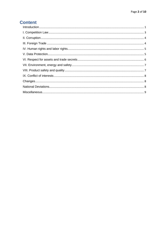# **Content**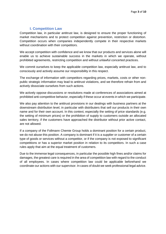#### **I. Competition Law**

<span id="page-3-0"></span>Competition law, in particular antitrust law, is designed to ensure the proper functioning of market mechanisms and to protect competition against prevention, restriction or distortion. Competition occurs when companies independently compete in their respective markets without coordination with their competitors.

We accept competition with confidence and we know that our products and services alone will enable us to achieve sustainable success in the markets in which we operate, without prohibited agreements, restricting competition and without unlawful concerted practices.

We commit ourselves to keep the applicable competition law, especially antitrust law, and to consciously and actively assume our responsibility in this respect.

The exchange of information with competitors regarding prices, markets, costs or other nonpublic strategic information may lead to antitrust violations, and we therefore refrain from and actively dissociate ourselves from such actions.

We actively oppose discussions or resolutions made at conferences of associations aimed at prohibited anti-competitive behavior, especially if these occur at events in which we participate.

We also pay attention to the antitrust provisions in our dealings with business partners at the downstream distribution level, in particular with distributers that sell our products in their own name and for their own account. In this context, especially the setting of price standards (e.g. the setting of minimum prices) or the prohibition of supply to customers outside an allocated sales territory, if the customers have approached the distributor without prior active contact, are not allowed.

If a company of the Follmann Chemie Group holds a dominant position for a certain product, we do not abuse this position. A company is dominant if it is a supplier or customer of a certain type of goods or services without a competitor, or if the company is not exposed to significant competitions or has a superior market position in relation to its competitors. In such a case rules apply that aim at the equal treatment of customers.

Due to the immense legal consequences, in particular the possible high fines and/or claims for damages, the greatest care is required in the area of competition law with regard to the conduct of all employees. In cases where competition law could be applicable beforehand we coordinate our actions with our supervisor. In cases of doubt we seek professional legal advice.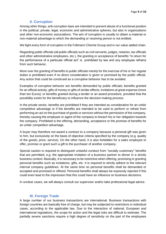### **II. Corruption**

<span id="page-4-0"></span>Among other things, anti-corruption laws are intended to prevent abuse of a functional position in the political, private, legal, economic and administrative spheres, but also in organizations and other non-economic associations. The aim of corruption is usually to obtain a material or non-material advantage to which the demanding or receiving person is not entitled.

We fight every form of corruption in the Follmann Chemie Group and in our value added chain.

Regarding public officials (all public officials such as civil servants, judges, notaries, tax officials and other administrative employees, etc.), the granting or acceptance of benefits "in return for the performance of a particular official act" is prohibited by law and any employee refrains from such behavior.

More over the granting of benefits to public officials merely for the exercise of his or her regular duties is prohibited even if no direct consideration is given or promised by the public official. Any action that could be construed as a corruptive behavior has to be avoided.

Examples of corruptive behavior are benefits demanded by public officials; benefits granted for an official activity; gifts of money or gifts of similar effects; invitations at great expense (more than ten Euros); or benefits granted during a tender or an award procedure, provided that the possibility exists for the beneficiary to influence the decision-making process.

In the private sector, benefits are prohibited if they are intended as consideration for an unfair competitive advantage or if the benefits are intended to be used to perform or refrain from performing an act on the purchase of goods or services without the permission of the company, thereby causing the employee or agent of the company to breach his or her obligation towards the company. Prohibited is the offering, demanding, acceptance or the promise of benefits for an unfair competition advantage.

A buyer may therefore not award a contract to a company because a personal gift was given to him, but exclusively on the basis of objective criteria specified by the company (e.g. quality of the goods, price, service). On the other hand, it is also forbidden for a sales employee to offer, promise or grant such a gift to the purchaser of another company.

Special caution is required to distinguish unlawful conduct from "socially customary" benefits that are permitted, e.g. the appropriate invitation of a business partner to dinner in a strictly business context. Basically, it is necessary to be restrictive when offering, promising or granting personal benefits such as invitations, gifts, etc. It is required to strictly adhere to the relevant internal company guidelines. At the same time no personal benefits shall be demanded or accepted and promised or offered. Personal benefits shall always be expressly rejected if this could even lead to the impression that this could have an influence on business decisions.

In unclear cases, we will always consult our supervisor and/or take professional legal advice.

#### **III. Foreign Trade**

<span id="page-4-1"></span>A large number of our business transactions are international. Business transactions with foreign countries are basically free of charge, but may be subjected to restrictions in individual cases, according to the applicable law. Due to the interaction of national, European and international regulations, the scope for action and the legal risks are difficult to estimate. The partially severe sanctions require a high degree of sensitivity on the part of the employees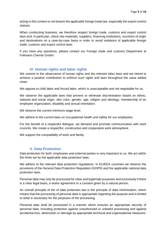acting in this context to not breach the applicable foreign trade law, especially the export control statues.

When conducting business, we therefore respect foreign trade, customs and export control laws and, in particular, check raw materials, suppliers, financing institutions, countries of origin and destinations on a case-by-case basis in order to avoid violations of applicable foreign trade, customs and export control laws.

If you have any questions, please contact our Foreign trade and customs Department at Follmann Chemie GmbH.

#### **IV. Human rights and labor rights**

<span id="page-5-0"></span>We commit to the observance of human rights and the relevant labor laws and we intend to achieve a positive contribution to enforce such rights and laws throughout the value added chain.

We oppose to child labor and forced labor, which is unacceptable and not negotiable for us.

We observe the applicable laws that prevent or eliminate discrimination based on ethnic, national and social origin, skin color, gender, age, religion and ideology, membership of an employee organization, disability and sexual orientation.

We observe the current minimum wage level.

We adhere to the current laws on occupational health and safety for our employees.

For the benefit of a respectful dialogue, we demand and promote communication with work councils. We create a respectful, constructive and cooperative work atmosphere.

We support the compatibility of work and family.

#### **V. Data Protection**

<span id="page-5-1"></span>Data protection for both, employees and external parties is very important to us. We act within the limits set by the applicable data protection laws.

We adhere to the relevant data protection regulations. In EU/EEA countries we observe the provisions of the General Data Protection Regulation (GDPR) and the applicable national data protection laws.

Personal data may only be processed for clear and legitimate purposes and exclusively if there is a clear legal basis, a works agreement or a consent given by a natural person.

An overall principle of the of data protection law is the principle of data minimization, which means that the processing of personal data is appropriate regarding the purpose and is limited to what is necessary for the purposes of the processing.

Personal data shall be processed in a manner which ensures an appropriate security of personal data, including protection against unauthorized or unlawful processing and against accidental loss, destruction or damage by appropriate technical and organizational measures.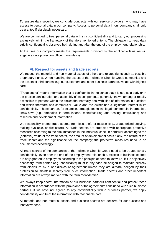To ensure data security, we conclude contracts with our service providers, who may have access to personal data in our company. Access to personal data in our company shall only be granted if absolutely necessary.

We are committed to treat personal data with strict confidentiality and to carry out processing exclusively within the framework of the aforementioned criteria. The obligation to keep data strictly confidential is observed both during and after the end of the employment relationship.

At the time our company meets the requirements provided by the applicable laws we will engage a data protection officer if mandatory.

#### **VI. Respect for assets and trade secrets**

<span id="page-6-0"></span>We respect the material and non-material assets of others and related rights such as possible proprietary rights. When handling the assets of the Follmann Chemie Group companies and the assets of third parties, e.g. our customers and other business partners, we act with highest care.

"Trade secret" means information that is confidential in the sense that it is not, as a body or in the precise configuration and assembly of its components, generally known among or readily accessible to persons within the circles that normally deal with kind of information in question; and which therefore has commercial value and the owner has a legitimate interest in its confidentiality. These can be, for example, strategic technical, legal, commercial information, know-how (e.g. embodied in formulations, manufacturing and testing instructions) and research and development information.

We responsibly protect trade secrets from loss, theft, or misuse (e.g., unauthorized copying, making available, or disclosure). All trade secrets are protected with appropriate protective measures according to the circumstances in the individual case, in particular according to the (potential) value of the trade secret, the amount of development costs if any, the nature of the trade secret and the significance for the company; the protective measures need to be documented accordingly.

All trade secrets of the companies of the Follmann Chemie Group need to be treated strictly confidentially, even after the end of the employment relationship. Access to business secrets are only granted to employees according to the principle of need to know, i.e. if it is objectively necessary; third parties (e.g. consultants) must in any case be obliged to maintain secrecy from disclosure by a non-disclosure-agreement unless they are already obliged by their profession to maintain secrecy from such information. Trade secrets and other important information are always marked with the term "confidential".

We always keep secret information of our business partners confidential and protect these information in accordance with the provisions of the agreements concluded with such business partners. If we have not agreed to any confidentiality with a business partner, we apply confidentiality and treat the information with reasonable care.

All material and non-material assets and business secrets are decisive for our success and innovativeness.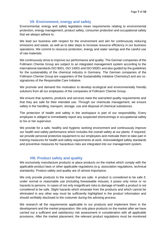#### **VII. Environment, energy and safety**

<span id="page-7-0"></span>Environmental, energy and safety legislation mean requirements relating to environmental protection, energy management, product safety, consumer protection and occupational safety that we always adhere to.

We lead our business with respect for the environment and aim for continuously reducing emissions and waste, as well as to take steps to increase resource efficiency in our business operations. We commit to resource protection, energy and water savings and the careful use of raw materials.

We continuously strive to improve our performance and quality. The German companies of the Follmann Chemie Group are subject to an integrated management system according to the international standards ISO 9001, ISO 14001 and ISO 50001 and also guided by the guidelines for the sustainability of the chemical industry in Germany. The German companies of the Follmann Chemie Group are supporters of the Sustainability Initiative Chemistry3 and are cosignatories of the Responsible Care Initiative.

We promote and demand the motivation to develop ecological and environmentally friendly solutions from all our employees of the companies of Follmann Chemie Group.

We ensure that systems, products and services meet the warranted quality requirements and that they are safe for their intended use. Through our chemicals management, we ensure safety in the handling, transport, storage, use and disposal of chemical substances.

The protection of health and safety in the workspace is part of our responsibility. Every employee is obliged to immediately report any suspected shortcomings in occupational safety to his or her supervisor.

We provide for a safe, healthy and hygienic working environment and continuously improve our health and safety performance which includes the overall safety at our plants. If required, we provide personal protective equipment to our employees and motivate them to take part in training measures for health and safety requirements at work. Acknowledged safety standards and preventive measures for hazardous risks are integrated into our management system.

#### **VIII. Product safety and quality**

<span id="page-7-1"></span>We exclusively manufacture products or place products on the market which comply with the applicable product laws or other applicable regulations (e.g. association regulations, technical standards). Product safety and quality are of utmost importance.

We only provide products to the market that are safe. A product is considered to be safe if, under normal or reasonable use (including foreseeable misuse), it poses only minor or no hazards to persons. In cases of not only insignificant risks to damage of health a product is not considered to be safe. Slight hazards which emanate from the products and which cannot be eliminated in any other way must be sufficiently highlighted in the product information and should verifiably disclosed to the costumer during the advising process.

We research all the requirements applicable to our products and implement them in the development and the market preparation. We only place products on the market after we have carried out a sufficient and satisfactory risk assessment in consideration with all applicable provisions. After the market placement, the relevant product regulations must be monitored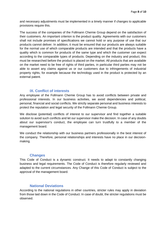and necessary adjustments must be implemented in a timely manner if changes to applicable provisions require this.

The success of the companies of the Follmann Chemie Group depend on the satisfaction of their customers. An important criterion is the product quality. Agreements with our customers shall not include promises of specifications we cannot hold or any purpose of use that our products cannot deliver. In addition, it must be ensured that our products are always suitable for the normal use of which comparable products are intended and that the products have a quality which is common for products of the same type and which the customer can expect according to the comparable types of products. Depending on the industry and product, this must be researched before the product is placed on the market. All products that are available on the market need to be free of rights of third parties, in particular third parties may not be able to assert any claims against us or our customers due to infringements of industrial property rights, for example because the technology used in the product is protected by an external patent.

#### **IX. Conflict of interests**

<span id="page-8-0"></span>Any employee of the Follmann Chemie Group has to avoid conflicts between private and professional interests. In our business activities, we avoid dependencies and political, personal, financial and social conflicts. We strictly separate personal and business interests to protect the reputation and legal security of the Follmann Chemie Group.

We disclose (potential) conflicts of interest to our supervisor and find together a suitable solution to avoid such conflicts and let our supervisor make the decision. In case of any doubts about our supervisor's conduct, the employee can turn trustfully to a member of the management board.

We conduct the relationship with our business partners professionally in the best interest of the company. Therefore, personal relationships and interests have no place in our decisionmaking.

#### **Changes**

<span id="page-8-1"></span>This Code of Conduct is a dynamic construct. It needs to adapt to constantly changing business and legal requirements. The Code of Conduct is therefore regularly reviewed and adapted to the current circumstances. Any Change of this Code of Conduct is subject to the approval of the management board.

#### **National Deviations**

<span id="page-8-2"></span>According to the national regulations in other countries, stricter rules may apply in deviation from those laid down in the Code of Conduct. In case of doubt, the stricter regulations must be observed.